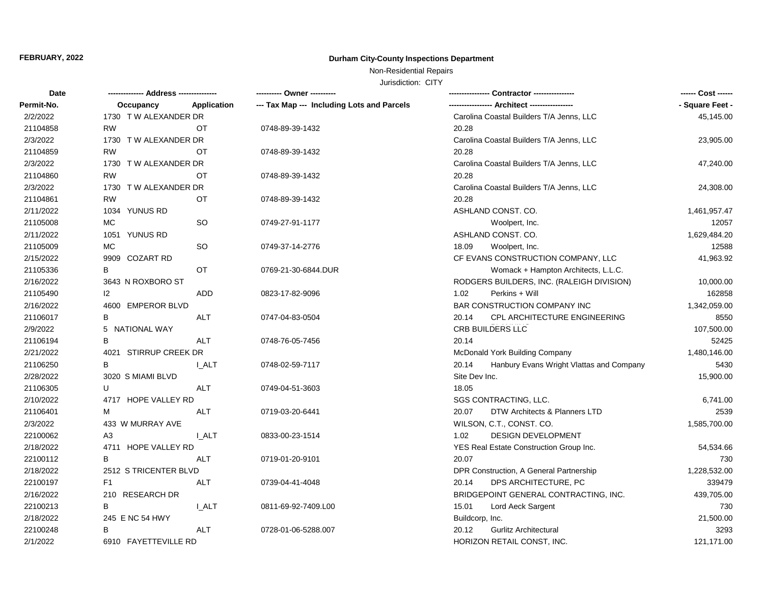# **FEBRUARY, 2022 Durham City-County Inspections Department**

# Non-Residential Repairs

Jurisdiction: CITY

| Date       |                       |              | ---------- Owner ----------                |                                                   | ------ Cost ------ |
|------------|-----------------------|--------------|--------------------------------------------|---------------------------------------------------|--------------------|
| Permit-No. | Occupancy             | Application  | --- Tax Map --- Including Lots and Parcels |                                                   | - Square Feet -    |
| 2/2/2022   | 1730 T W ALEXANDER DR |              |                                            | Carolina Coastal Builders T/A Jenns, LLC          | 45,145.00          |
| 21104858   | <b>RW</b>             | ОT           | 0748-89-39-1432                            | 20.28                                             |                    |
| 2/3/2022   | 1730 T W ALEXANDER DR |              |                                            | Carolina Coastal Builders T/A Jenns, LLC          | 23,905.00          |
| 21104859   | <b>RW</b>             | OT           | 0748-89-39-1432                            | 20.28                                             |                    |
| 2/3/2022   | 1730 T W ALEXANDER DR |              |                                            | Carolina Coastal Builders T/A Jenns, LLC          | 47,240.00          |
| 21104860   | <b>RW</b>             | ОT           | 0748-89-39-1432                            | 20.28                                             |                    |
| 2/3/2022   | 1730 T W ALEXANDER DR |              |                                            | Carolina Coastal Builders T/A Jenns, LLC          | 24,308.00          |
| 21104861   | <b>RW</b>             | <b>OT</b>    | 0748-89-39-1432                            | 20.28                                             |                    |
| 2/11/2022  | 1034 YUNUS RD         |              |                                            | ASHLAND CONST. CO.                                | 1,461,957.47       |
| 21105008   | MC                    | SO           | 0749-27-91-1177                            | Woolpert, Inc.                                    | 12057              |
| 2/11/2022  | 1051 YUNUS RD         |              |                                            | ASHLAND CONST. CO.                                | 1,629,484.20       |
| 21105009   | MC                    | <b>SO</b>    | 0749-37-14-2776                            | 18.09<br>Woolpert, Inc.                           | 12588              |
| 2/15/2022  | 9909 COZART RD        |              |                                            | CF EVANS CONSTRUCTION COMPANY, LLC                | 41,963.92          |
| 21105336   | B                     | <b>OT</b>    | 0769-21-30-6844.DUR                        | Womack + Hampton Architects, L.L.C.               |                    |
| 2/16/2022  | 3643 N ROXBORO ST     |              |                                            | RODGERS BUILDERS, INC. (RALEIGH DIVISION)         | 10,000.00          |
| 21105490   | 12                    | <b>ADD</b>   | 0823-17-82-9096                            | 1.02<br>Perkins + Will                            | 162858             |
| 2/16/2022  | 4600 EMPEROR BLVD     |              |                                            | BAR CONSTRUCTION COMPANY INC                      | 1,342,059.00       |
| 21106017   | B                     | <b>ALT</b>   | 0747-04-83-0504                            | CPL ARCHITECTURE ENGINEERING<br>20.14             | 8550               |
| 2/9/2022   | 5 NATIONAL WAY        |              |                                            | CRB BUILDERS LLC                                  | 107,500.00         |
| 21106194   | B                     | <b>ALT</b>   | 0748-76-05-7456                            | 20.14                                             | 52425              |
| 2/21/2022  | 4021 STIRRUP CREEK DR |              |                                            | McDonald York Building Company                    | 1,480,146.00       |
| 21106250   | В                     | I ALT        | 0748-02-59-7117                            | Hanbury Evans Wright Vlattas and Company<br>20.14 | 5430               |
| 2/28/2022  | 3020 S MIAMI BLVD     |              |                                            | Site Dev Inc.                                     | 15,900.00          |
| 21106305   | U                     | <b>ALT</b>   | 0749-04-51-3603                            | 18.05                                             |                    |
| 2/10/2022  | 4717 HOPE VALLEY RD   |              |                                            | SGS CONTRACTING, LLC.                             | 6,741.00           |
| 21106401   | м                     | ALT          | 0719-03-20-6441                            | DTW Architects & Planners LTD<br>20.07            | 2539               |
| 2/3/2022   | 433 W MURRAY AVE      |              |                                            | WILSON, C.T., CONST. CO.                          | 1,585,700.00       |
| 22100062   | A3                    | <b>L_ALT</b> | 0833-00-23-1514                            | 1.02<br><b>DESIGN DEVELOPMENT</b>                 |                    |
| 2/18/2022  | 4711 HOPE VALLEY RD   |              |                                            | YES Real Estate Construction Group Inc.           | 54,534.66          |
| 22100112   | B                     | <b>ALT</b>   | 0719-01-20-9101                            | 20.07                                             | 730                |
| 2/18/2022  | 2512 S TRICENTER BLVD |              |                                            | DPR Construction, A General Partnership           | 1,228,532.00       |
| 22100197   | F <sub>1</sub>        | <b>ALT</b>   | 0739-04-41-4048                            | 20.14<br>DPS ARCHITECTURE, PC                     | 339479             |
| 2/16/2022  | 210 RESEARCH DR       |              |                                            | BRIDGEPOINT GENERAL CONTRACTING, INC.             | 439,705.00         |
| 22100213   | B                     | I ALT        | 0811-69-92-7409.L00                        | 15.01<br>Lord Aeck Sargent                        | 730                |
| 2/18/2022  | 245 E NC 54 HWY       |              |                                            | Buildcorp, Inc.                                   | 21,500.00          |
| 22100248   | В                     | ALT          | 0728-01-06-5288.007                        | <b>Gurlitz Architectural</b><br>20.12             | 3293               |
| 2/1/2022   | 6910 FAYETTEVILLE RD  |              |                                            | HORIZON RETAIL CONST, INC.                        | 121,171.00         |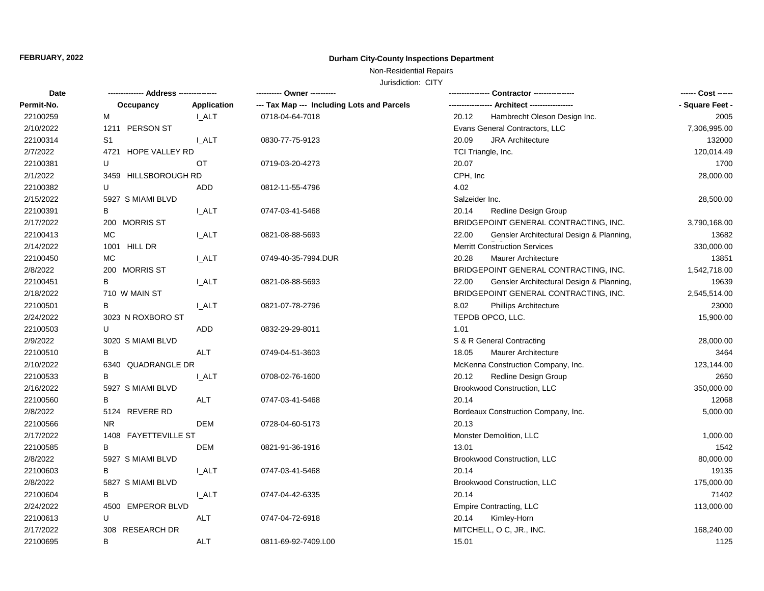# **FEBRUARY, 2022 Durham City-County Inspections Department**

# Non-Residential Repairs

Jurisdiction: CITY

| Date       |                      |                    | ---------- Owner ----------                |                                                   | ------ Cost ------ |
|------------|----------------------|--------------------|--------------------------------------------|---------------------------------------------------|--------------------|
| Permit-No. | Occupancy            | <b>Application</b> | --- Tax Map --- Including Lots and Parcels |                                                   | - Square Feet -    |
| 22100259   | М                    | <b>LALT</b>        | 0718-04-64-7018                            | Hambrecht Oleson Design Inc.<br>20.12             | 2005               |
| 2/10/2022  | 1211 PERSON ST       |                    |                                            | Evans General Contractors, LLC                    | 7,306,995.00       |
| 22100314   | S1                   | I ALT              | 0830-77-75-9123                            | 20.09<br><b>JRA Architecture</b>                  | 132000             |
| 2/7/2022   | 4721 HOPE VALLEY RD  |                    |                                            | TCI Triangle, Inc.                                | 120,014.49         |
| 22100381   | U                    | OT                 | 0719-03-20-4273                            | 20.07                                             | 1700               |
| 2/1/2022   | 3459 HILLSBOROUGH RD |                    |                                            | CPH, Inc                                          | 28,000.00          |
| 22100382   | U                    | ADD                | 0812-11-55-4796                            | 4.02                                              |                    |
| 2/15/2022  | 5927 S MIAMI BLVD    |                    |                                            | Salzeider Inc.                                    | 28,500.00          |
| 22100391   | в                    | I_ALT              | 0747-03-41-5468                            | 20.14<br>Redline Design Group                     |                    |
| 2/17/2022  | 200 MORRIS ST        |                    |                                            | BRIDGEPOINT GENERAL CONTRACTING, INC.             | 3,790,168.00       |
| 22100413   | <b>MC</b>            | <b>I_ALT</b>       | 0821-08-88-5693                            | 22.00<br>Gensler Architectural Design & Planning, | 13682              |
| 2/14/2022  | 1001 HILL DR         |                    |                                            | <b>Merritt Construction Services</b>              | 330,000.00         |
| 22100450   | MC                   | <b>LALT</b>        | 0749-40-35-7994.DUR                        | 20.28<br>Maurer Architecture                      | 13851              |
| 2/8/2022   | 200 MORRIS ST        |                    |                                            | BRIDGEPOINT GENERAL CONTRACTING, INC.             | 1,542,718.00       |
| 22100451   | В                    | I ALT              | 0821-08-88-5693                            | 22.00<br>Gensler Architectural Design & Planning, | 19639              |
| 2/18/2022  | 710 W MAIN ST        |                    |                                            | BRIDGEPOINT GENERAL CONTRACTING, INC.             | 2,545,514.00       |
| 22100501   | B                    | <b>LALT</b>        | 0821-07-78-2796                            | 8.02<br><b>Phillips Architecture</b>              | 23000              |
| 2/24/2022  | 3023 N ROXBORO ST    |                    |                                            | TEPDB OPCO, LLC.                                  | 15,900.00          |
| 22100503   | U                    | <b>ADD</b>         | 0832-29-29-8011                            | 1.01                                              |                    |
| 2/9/2022   | 3020 S MIAMI BLVD    |                    |                                            | S & R General Contracting                         | 28,000.00          |
| 22100510   | В                    | <b>ALT</b>         | 0749-04-51-3603                            | <b>Maurer Architecture</b><br>18.05               | 3464               |
| 2/10/2022  | 6340 QUADRANGLE DR   |                    |                                            | McKenna Construction Company, Inc.                | 123,144.00         |
| 22100533   | B                    | I ALT              | 0708-02-76-1600                            | 20.12<br>Redline Design Group                     | 2650               |
| 2/16/2022  | 5927 S MIAMI BLVD    |                    |                                            | Brookwood Construction, LLC                       | 350,000.00         |
| 22100560   | B                    | <b>ALT</b>         | 0747-03-41-5468                            | 20.14                                             | 12068              |
| 2/8/2022   | 5124 REVERE RD       |                    |                                            | Bordeaux Construction Company, Inc.               | 5,000.00           |
| 22100566   | N <sub>R</sub>       | DEM                | 0728-04-60-5173                            | 20.13                                             |                    |
| 2/17/2022  | 1408 FAYETTEVILLE ST |                    |                                            | Monster Demolition, LLC                           | 1,000.00           |
| 22100585   | B                    | <b>DEM</b>         | 0821-91-36-1916                            | 13.01                                             | 1542               |
| 2/8/2022   | 5927 S MIAMI BLVD    |                    |                                            | Brookwood Construction, LLC                       | 80,000.00          |
| 22100603   | В                    | I_ALT              | 0747-03-41-5468                            | 20.14                                             | 19135              |
| 2/8/2022   | 5827 S MIAMI BLVD    |                    |                                            | <b>Brookwood Construction, LLC</b>                | 175,000.00         |
| 22100604   | В                    | <b>I_ALT</b>       | 0747-04-42-6335                            | 20.14                                             | 71402              |
| 2/24/2022  | 4500 EMPEROR BLVD    |                    |                                            | Empire Contracting, LLC                           | 113,000.00         |
| 22100613   | U                    | <b>ALT</b>         | 0747-04-72-6918                            | 20.14<br>Kimley-Horn                              |                    |
| 2/17/2022  | 308 RESEARCH DR      |                    |                                            | MITCHELL, O C, JR., INC.                          | 168,240.00         |
| 22100695   | B                    | <b>ALT</b>         | 0811-69-92-7409.L00                        | 15.01                                             | 1125               |